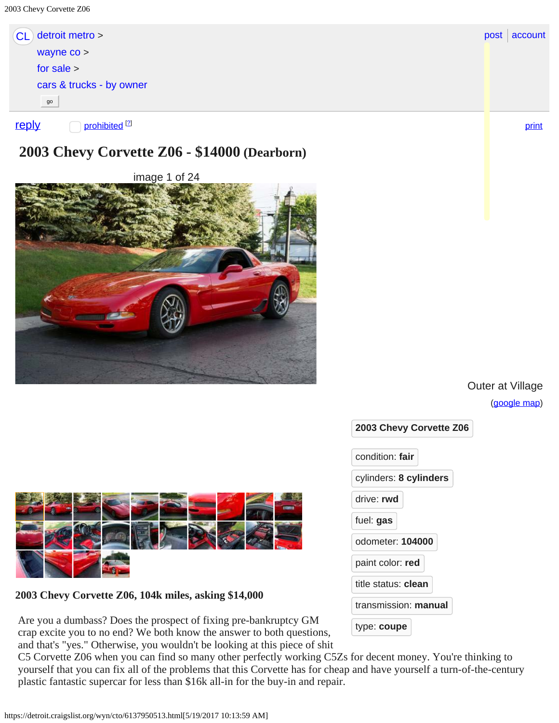<span id="page-0-0"></span>

| detroit metro ><br>CL)                    | post<br>accoun |
|-------------------------------------------|----------------|
| wayne $\cos$                              |                |
| for sale $>$                              |                |
| cars & trucks - by owner                  |                |
| go                                        |                |
| prohibited <sup>[2]</sup><br><u>reply</u> | print          |



image 1 of 24



Outer at Village

[\(google map](https://maps.google.com/?q=loc%3A+Outer+at+Village+Dearborn+MI+US))

[account](https://accounts.craigslist.org/login/home)



**2003 Chevy Corvette Z06, 104k miles, asking \$14,000**

Are you a dumbass? Does the prospect of fixing pre-bankruptcy GM crap excite you to no end? We both know the answer to both questions, and that's "yes." Otherwise, you wouldn't be looking at this piece of shit

 C5 Corvette Z06 when you can find so many other perfectly working C5Zs for decent money. You're thinking to yourself that you can fix all of the problems that this Corvette has for cheap and have yourself a turn-of-the-century plastic fantastic supercar for less than \$16k all-in for the buy-in and repair.

| condition: fair             |  |  |
|-----------------------------|--|--|
| cylinders: 8 cylinders      |  |  |
| drive: rwd                  |  |  |
| fuel: gas                   |  |  |
| odometer: 104000            |  |  |
| paint color: red            |  |  |
| title status: <b>clean</b>  |  |  |
| transmission: <b>manual</b> |  |  |
| type: coupe                 |  |  |
|                             |  |  |

**2003 Chevy Corvette Z06**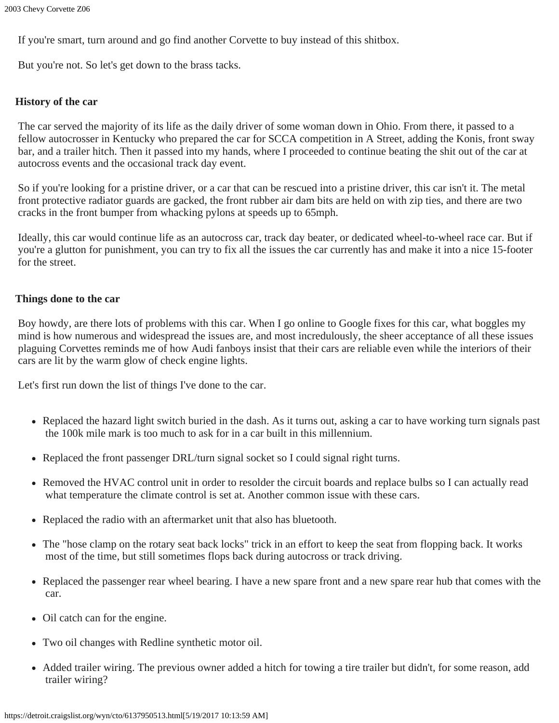If you're smart, turn around and go find another Corvette to buy instead of this shitbox.

But you're not. So let's get down to the brass tacks.

#### **History of the car**

The car served the majority of its life as the daily driver of some woman down in Ohio. From there, it passed to a fellow autocrosser in Kentucky who prepared the car for SCCA competition in A Street, adding the Konis, front sway bar, and a trailer hitch. Then it passed into my hands, where I proceeded to continue beating the shit out of the car at autocross events and the occasional track day event.

So if you're looking for a pristine driver, or a car that can be rescued into a pristine driver, this car isn't it. The metal front protective radiator guards are gacked, the front rubber air dam bits are held on with zip ties, and there are two cracks in the front bumper from whacking pylons at speeds up to 65mph.

Ideally, this car would continue life as an autocross car, track day beater, or dedicated wheel-to-wheel race car. But if you're a glutton for punishment, you can try to fix all the issues the car currently has and make it into a nice 15-footer for the street.

### **Things done to the car**

Boy howdy, are there lots of problems with this car. When I go online to Google fixes for this car, what boggles my mind is how numerous and widespread the issues are, and most incredulously, the sheer acceptance of all these issues plaguing Corvettes reminds me of how Audi fanboys insist that their cars are reliable even while the interiors of their cars are lit by the warm glow of check engine lights.

Let's first run down the list of things I've done to the car.

- Replaced the hazard light switch buried in the dash. As it turns out, asking a car to have working turn signals past the 100k mile mark is too much to ask for in a car built in this millennium.
- Replaced the front passenger DRL/turn signal socket so I could signal right turns.
- Removed the HVAC control unit in order to resolder the circuit boards and replace bulbs so I can actually read what temperature the climate control is set at. Another common issue with these cars.
- Replaced the radio with an aftermarket unit that also has bluetooth.
- The "hose clamp on the rotary seat back locks" trick in an effort to keep the seat from flopping back. It works most of the time, but still sometimes flops back during autocross or track driving.
- Replaced the passenger rear wheel bearing. I have a new spare front and a new spare rear hub that comes with the car.
- Oil catch can for the engine.
- Two oil changes with Redline synthetic motor oil.
- Added trailer wiring. The previous owner added a hitch for towing a tire trailer but didn't, for some reason, add trailer wiring?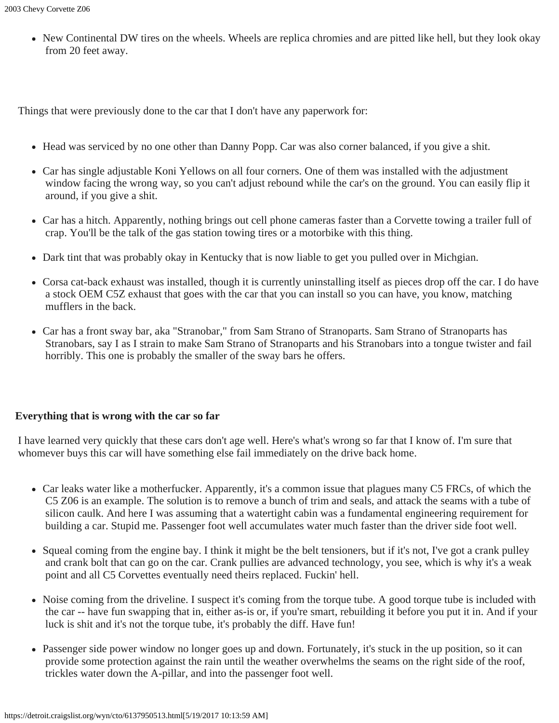• New Continental DW tires on the wheels. Wheels are replica chromies and are pitted like hell, but they look okay from 20 feet away.

Things that were previously done to the car that I don't have any paperwork for:

- Head was serviced by no one other than Danny Popp. Car was also corner balanced, if you give a shit.
- Car has single adjustable Koni Yellows on all four corners. One of them was installed with the adjustment window facing the wrong way, so you can't adjust rebound while the car's on the ground. You can easily flip it around, if you give a shit.
- Car has a hitch. Apparently, nothing brings out cell phone cameras faster than a Corvette towing a trailer full of crap. You'll be the talk of the gas station towing tires or a motorbike with this thing.
- Dark tint that was probably okay in Kentucky that is now liable to get you pulled over in Michgian.
- Corsa cat-back exhaust was installed, though it is currently uninstalling itself as pieces drop off the car. I do have a stock OEM C5Z exhaust that goes with the car that you can install so you can have, you know, matching mufflers in the back.
- Car has a front sway bar, aka "Stranobar," from Sam Strano of Stranoparts. Sam Strano of Stranoparts has Stranobars, say I as I strain to make Sam Strano of Stranoparts and his Stranobars into a tongue twister and fail horribly. This one is probably the smaller of the sway bars he offers.

## **Everything that is wrong with the car so far**

I have learned very quickly that these cars don't age well. Here's what's wrong so far that I know of. I'm sure that whomever buys this car will have something else fail immediately on the drive back home.

- Car leaks water like a motherfucker. Apparently, it's a common issue that plagues many C5 FRCs, of which the C5 Z06 is an example. The solution is to remove a bunch of trim and seals, and attack the seams with a tube of silicon caulk. And here I was assuming that a watertight cabin was a fundamental engineering requirement for building a car. Stupid me. Passenger foot well accumulates water much faster than the driver side foot well.
- Squeal coming from the engine bay. I think it might be the belt tensioners, but if it's not, I've got a crank pulley and crank bolt that can go on the car. Crank pullies are advanced technology, you see, which is why it's a weak point and all C5 Corvettes eventually need theirs replaced. Fuckin' hell.
- Noise coming from the driveline. I suspect it's coming from the torque tube. A good torque tube is included with the car -- have fun swapping that in, either as-is or, if you're smart, rebuilding it before you put it in. And if your luck is shit and it's not the torque tube, it's probably the diff. Have fun!
- Passenger side power window no longer goes up and down. Fortunately, it's stuck in the up position, so it can provide some protection against the rain until the weather overwhelms the seams on the right side of the roof, trickles water down the A-pillar, and into the passenger foot well.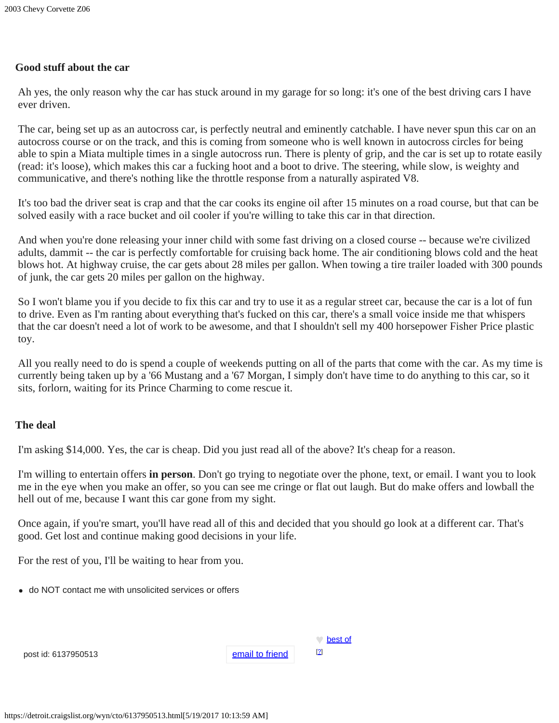# **Good stuff about the car**

Ah yes, the only reason why the car has stuck around in my garage for so long: it's one of the best driving cars I have ever driven.

The car, being set up as an autocross car, is perfectly neutral and eminently catchable. I have never spun this car on an autocross course or on the track, and this is coming from someone who is well known in autocross circles for being able to spin a Miata multiple times in a single autocross run. There is plenty of grip, and the car is set up to rotate easily (read: it's loose), which makes this car a fucking hoot and a boot to drive. The steering, while slow, is weighty and communicative, and there's nothing like the throttle response from a naturally aspirated V8.

It's too bad the driver seat is crap and that the car cooks its engine oil after 15 minutes on a road course, but that can be solved easily with a race bucket and oil cooler if you're willing to take this car in that direction.

And when you're done releasing your inner child with some fast driving on a closed course -- because we're civilized adults, dammit -- the car is perfectly comfortable for cruising back home. The air conditioning blows cold and the heat blows hot. At highway cruise, the car gets about 28 miles per gallon. When towing a tire trailer loaded with 300 pounds of junk, the car gets 20 miles per gallon on the highway.

So I won't blame you if you decide to fix this car and try to use it as a regular street car, because the car is a lot of fun to drive. Even as I'm ranting about everything that's fucked on this car, there's a small voice inside me that whispers that the car doesn't need a lot of work to be awesome, and that I shouldn't sell my 400 horsepower Fisher Price plastic toy.

All you really need to do is spend a couple of weekends putting on all of the parts that come with the car. As my time is currently being taken up by a '66 Mustang and a '67 Morgan, I simply don't have time to do anything to this car, so it sits, forlorn, waiting for its Prince Charming to come rescue it.

### **The deal**

I'm asking \$14,000. Yes, the car is cheap. Did you just read all of the above? It's cheap for a reason.

I'm willing to entertain offers **in person**. Don't go trying to negotiate over the phone, text, or email. I want you to look me in the eye when you make an offer, so you can see me cringe or flat out laugh. But do make offers and lowball the hell out of me, because I want this car gone from my sight.

Once again, if you're smart, you'll have read all of this and decided that you should go look at a different car. That's good. Get lost and continue making good decisions in your life.

For the rest of you, I'll be waiting to hear from you.

do NOT contact me with unsolicited services or offers

|                 | ∤ best of                    |
|-----------------|------------------------------|
| email to friend | $\left[ \frac{2}{3} \right]$ |

post id: 6137950513